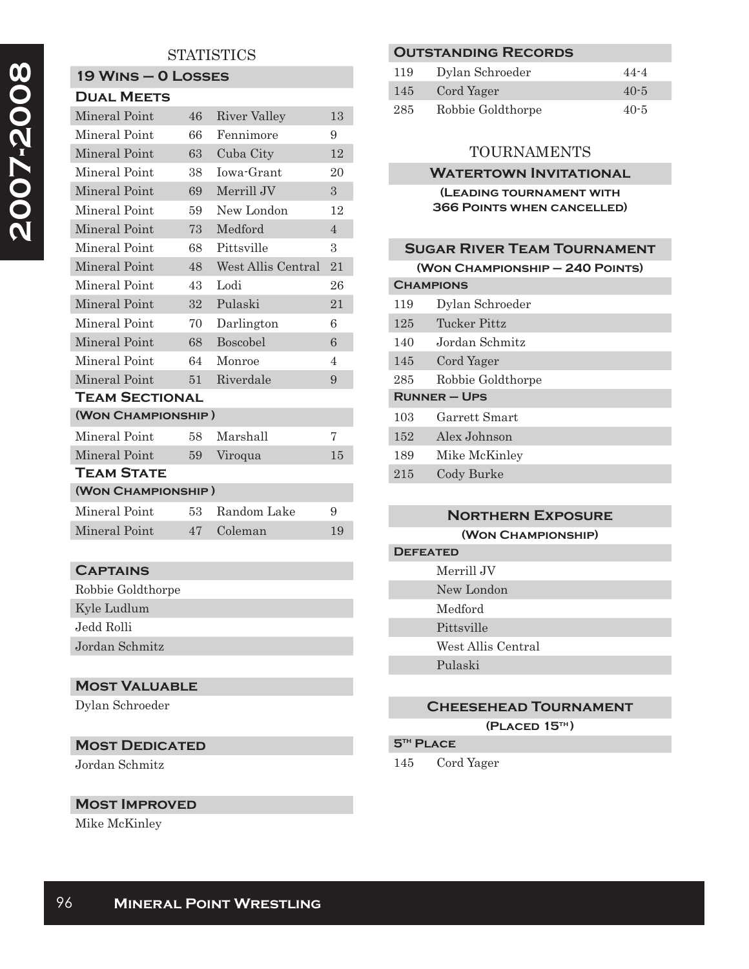## **STATISTICS**

# **19 Wins – 0 Losses**

| <b>DUAL MEETS</b>    |    |                    |                |  |
|----------------------|----|--------------------|----------------|--|
| Mineral Point        | 46 | River Valley       | 13             |  |
| Mineral Point        | 66 | Fennimore          | 9              |  |
| <b>Mineral Point</b> | 63 | Cuba City          | 12             |  |
| Mineral Point        | 38 | Iowa-Grant         | 20             |  |
| Mineral Point        | 69 | Merrill JV         | 3              |  |
| Mineral Point        | 59 | New London         | 12             |  |
| Mineral Point        | 73 | Medford            | $\overline{4}$ |  |
| Mineral Point        | 68 | Pittsville         | 3              |  |
| Mineral Point        | 48 | West Allis Central | 21             |  |
| Mineral Point        | 43 | Lodi               | 26             |  |
| Mineral Point        | 32 | Pulaski            | 21             |  |
| Mineral Point        | 70 | Darlington         | 6              |  |
| Mineral Point        | 68 | Boscobel           | 6              |  |
| Mineral Point        | 64 | Monroe             | $\overline{4}$ |  |
| Mineral Point        | 51 | Riverdale          | 9              |  |
| TEAM SECTIONAL       |    |                    |                |  |
| (WON CHAMPIONSHIP)   |    |                    |                |  |
| Mineral Point        | 58 | Marshall           | 7              |  |
| Mineral Point        | 59 | Viroqua            | 15             |  |
| <b>TEAM STATE</b>    |    |                    |                |  |
| (WON CHAMPIONSHIP)   |    |                    |                |  |
| Mineral Point        | 53 | Random Lake        | 9              |  |
| Mineral Point        | 47 | Coleman            | 19             |  |
|                      |    |                    |                |  |

## **Captains**

| Robbie Goldthorpe |  |
|-------------------|--|
| Kyle Ludlum       |  |
| Jedd Rolli        |  |
| Jordan Schmitz    |  |

## **Most Valuable**

Dylan Schroeder

## **Most Dedicated**

Jordan Schmitz

#### **Most Improved**

Mike McKinley

## **Outstanding Records**

| 119 | Dylan Schroeder   | $44 - 4$ |
|-----|-------------------|----------|
| 145 | Cord Yager        | $40 - 5$ |
| 285 | Robbie Goldthorpe | $40 - 5$ |

## **TOURNAMENTS**

#### **WATERTOWN INVITATIONAL**

#### **(Leading tournament with 366 Points when cancelled)**

## **Sugar River Team Tournament (Won Championship – 240 Points) Champions** 119 Dylan Schroeder 125 Tucker Pittz 140 Jordan Schmitz 145 Cord Yager 285 Robbie Goldthorpe **Runner – Ups** 103 Garrett Smart 152 Alex Johnson

189 Mike McKinley

215 Cody Burke

## **Northern Exposure**

**(Won Championship)**

#### **Defeated** Merrill JV

- New London
- Medford
- Pittsville
- West Allis Central

Pulaski

## **Cheesehead Tournament**

**(Placed 15th )**

## **5th Place**

145 Cord Yager